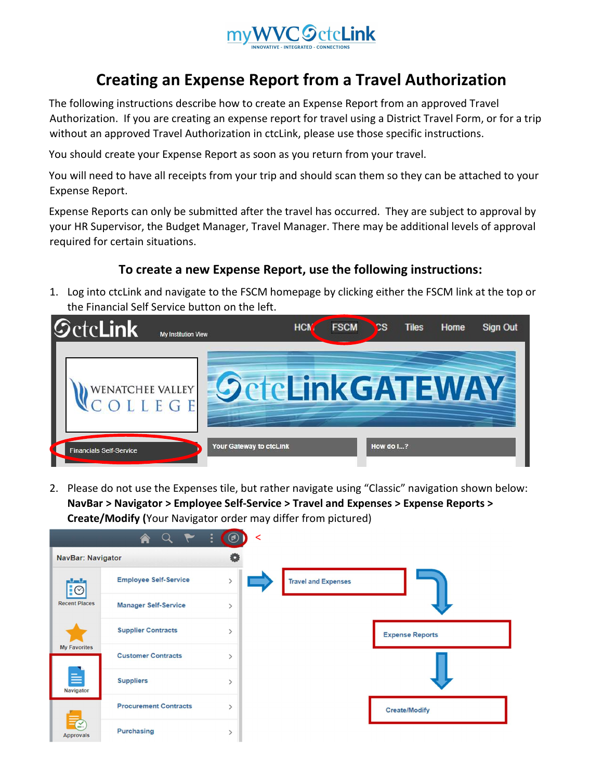

## Creating an Expense Report from a Travel Authorization

The following instructions describe how to create an Expense Report from an approved Travel Authorization. If you are creating an expense report for travel using a District Travel Form, or for a trip without an approved Travel Authorization in ctcLink, please use those specific instructions.

You should create your Expense Report as soon as you return from your travel.

You will need to have all receipts from your trip and should scan them so they can be attached to your Expense Report.

Expense Reports can only be submitted after the travel has occurred. They are subject to approval by your HR Supervisor, the Budget Manager, Travel Manager. There may be additional levels of approval required for certain situations.

## To create a new Expense Report, use the following instructions:

1. Log into ctcLink and navigate to the FSCM homepage by clicking either the FSCM link at the top or the Financial Self Service button on the left.



2. Please do not use the Expenses tile, but rather navigate using "Classic" navigation shown below: NavBar > Navigator > Employee Self-Service > Travel and Expenses > Expense Reports > Create/Modify (Your Navigator order may differ from pictured)

|                                  |                              | $\bullet$<br>≺<br>$\omega$ |                            |
|----------------------------------|------------------------------|----------------------------|----------------------------|
| <b>NavBar: Navigator</b>         |                              |                            |                            |
| $\overline{\bullet}$             | <b>Employee Self-Service</b> | $\mathcal{P}$              | <b>Travel and Expenses</b> |
| <b>Recent Places</b>             | <b>Manager Self-Service</b>  | $\mathcal{E}$              |                            |
|                                  | <b>Supplier Contracts</b>    | $\mathcal{E}$              | <b>Expense Reports</b>     |
| <b>My Favorites</b>              | <b>Customer Contracts</b>    | ↘                          |                            |
| ≡<br>Navigator                   | <b>Suppliers</b>             | $\mathcal{P}$              |                            |
|                                  | <b>Procurement Contracts</b> |                            | <b>Create/Modify</b>       |
| $\mathbf{C}$<br><b>Approvals</b> | Purchasing                   | ⋋                          |                            |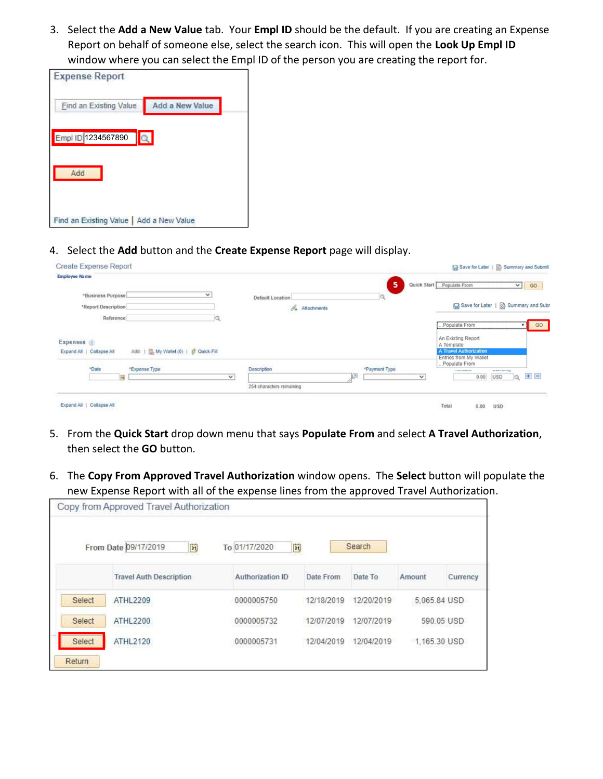3. Select the Add a New Value tab. Your Empl ID should be the default. If you are creating an Expense Report on behalf of someone else, select the search icon. This will open the Look Up Empl ID window where you can select the Empl ID of the person you are creating the report for.

| <b>Expense Report</b>                    |                 |
|------------------------------------------|-----------------|
| Find an Existing Value                   | Add a New Value |
| Empl ID 1234567890                       | Q               |
| Add                                      |                 |
| Find an Existing Value   Add a New Value |                 |

4. Select the Add button and the Create Expense Report page will display.

| Create Expense Report                                                               |                                                       |               |                             | Save for Later   2 Summary and Submit                   |                                        |    |
|-------------------------------------------------------------------------------------|-------------------------------------------------------|---------------|-----------------------------|---------------------------------------------------------|----------------------------------------|----|
| <b>Employee Name</b>                                                                |                                                       | 5             | Quick Start   Populate From |                                                         | Y                                      | 60 |
| "Business Purpose"<br>$\checkmark$<br>"Report Description                           | Default Location<br>$\mathscr{O}_\bullet$ Attachments |               |                             | Save for Later     Summary and Subn                     |                                        |    |
| Reference<br>10,                                                                    |                                                       |               | Populate From               |                                                         | V <sub>1</sub>                         | GO |
| Expenses 7                                                                          |                                                       |               | A Template                  | An Existing Report                                      |                                        |    |
| Add:   圖, My Wallet (0)   G Quick-Fill<br>Expand All   Collapse All<br><b>POSSE</b> |                                                       |               | Populate From               | <b>A Travel Authorization</b><br>Entries from My Wallet |                                        |    |
| *Date<br>*Expense Type<br><b>Contractor Install</b><br>in,<br>$\checkmark$          | Description                                           | *Payment Type | $\checkmark$                | <b>PROTECTIVE</b><br>0.00                               | Telephonesian<br>USD <sub>1</sub><br>a | 田田 |
|                                                                                     | 254 characters remaining                              |               |                             |                                                         |                                        |    |
| Expand All   Collapse All                                                           |                                                       |               | Total                       | 0.00                                                    | 122455<br><b>USD</b>                   |    |

- 5. From the Quick Start drop down menu that says Populate From and select A Travel Authorization, then select the GO button.
- 6. The Copy From Approved Travel Authorization window opens. The Select button will populate the new Expense Report with all of the expense lines from the approved Travel Authorization.

|               | Copy from Approved Travel Authorization          |                      |            |            |              |            |
|---------------|--------------------------------------------------|----------------------|------------|------------|--------------|------------|
|               | From Date 09/17/2019<br>$\vert \mathbf{m} \vert$ | To 01/17/2020<br>31, |            | Search     |              |            |
|               | <b>Travel Auth Description</b>                   | Authorization ID     | Date From  | Date To    | Amount       | Currency   |
| Select        | ATHL2209                                         | 0000005750           | 12/18/2019 | 12/20/2019 | 5.065.84 USD |            |
| Select        | ATHL2200                                         | 0000005732           | 12/07/2019 | 12/07/2019 |              | 590.05 USD |
| Select        | ATHL2120                                         | 0000005731           | 12/04/2019 | 12/04/2019 | 1,165.30 USD |            |
| <b>Return</b> |                                                  |                      |            |            |              |            |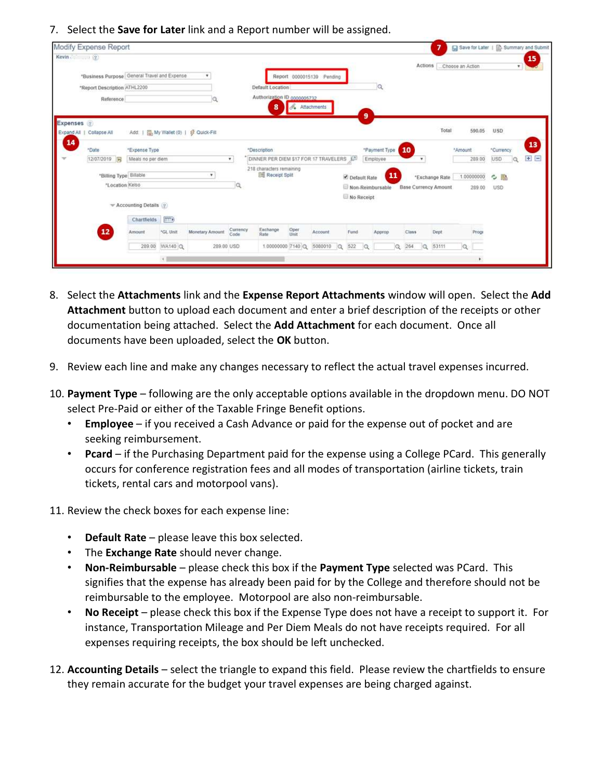7. Select the **Save for Later** link and a Report number will be assigned.

|              | Modify Expense Report                        |                                       |                 |                                       |                  |                                                      |                |                           |              |                  |          |                             | 7              | Save for Later   a Summary and Submit |                        |    |
|--------------|----------------------------------------------|---------------------------------------|-----------------|---------------------------------------|------------------|------------------------------------------------------|----------------|---------------------------|--------------|------------------|----------|-----------------------------|----------------|---------------------------------------|------------------------|----|
| Kevin 2      |                                              |                                       |                 |                                       |                  |                                                      |                |                           |              |                  |          |                             |                |                                       |                        | 15 |
|              |                                              |                                       |                 | $\ddot{}$                             |                  |                                                      |                |                           |              |                  |          | Actions                     |                | Choose an Action                      | ٠                      |    |
|              | "Business Purpose General Travel and Expense |                                       |                 |                                       |                  |                                                      |                | Report 0000015139 Pending |              |                  |          |                             |                |                                       |                        |    |
|              | *Report Description ATHL2200                 |                                       |                 |                                       |                  | Default Location<br>Authorization ID 0000005732      |                |                           |              |                  |          |                             |                |                                       |                        |    |
|              | Reference                                    |                                       |                 | Q                                     |                  | 8                                                    | S. Attachments |                           |              |                  |          |                             |                |                                       |                        |    |
| Expenses (?) |                                              |                                       |                 |                                       |                  |                                                      |                |                           |              | 9                |          |                             |                |                                       |                        |    |
| 14           | Expand All   Collapse All                    |                                       |                 | Add:   圖 My Wallet (0)   # Quick-Fill |                  |                                                      |                |                           |              |                  |          |                             | Total          | 590.05                                | <b>USD</b>             |    |
|              | *Date                                        | *Expense Type                         |                 |                                       |                  | *Description                                         |                |                           |              | *Payment Type    | 10       |                             |                | *Amount                               | *Currency              | 13 |
| v            | 12/07/2019 元                                 | Meals no per diem                     |                 |                                       | $\mathbf{v}$     | DINNER PER DIEM \$17 FOR 17 TRAVELERS ET             |                |                           |              | Employee         |          |                             |                | 289.00                                | <b>USD</b><br>$\alpha$ | 田目 |
|              | *Billing Type Billable                       |                                       |                 | ۰                                     |                  | 218 characters remaining<br><b>Big Receipt Split</b> |                |                           | Default Rate |                  | 11       |                             | *Exchange Rate | 1.00000000                            | ◇ 島                    |    |
|              | *Location Kelso                              |                                       |                 |                                       | lQ.              |                                                      |                |                           |              | Non-Reimbursable |          | <b>Base Currency Amount</b> |                | 289.00                                | <b>USD</b>             |    |
|              |                                              | $\mathbb{V}$ Accounting Details $(2)$ |                 |                                       |                  |                                                      |                |                           | No Receipt   |                  |          |                             |                |                                       |                        |    |
|              |                                              | Chartfields                           | $\sqrt{1-\Phi}$ |                                       |                  |                                                      |                |                           |              |                  |          |                             |                |                                       |                        |    |
|              | 12                                           | Amount                                | *GL Unit        | Monetary Amount                       | Currency<br>Code | Exchange<br>Rate                                     | Oper<br>tinit  | Account                   | Fund         | Approp           |          | Class                       | Dept.          | Progr                                 |                        |    |
|              |                                              | 289.00                                | <b>MA140 Q</b>  | 289.00 USD                            |                  | 1.00000000 7140 Q                                    |                | 5080010<br>$\alpha$       | 522          | $\alpha$         | $\alpha$ | 264<br>$\alpha$             | 53111          | Q                                     |                        |    |
|              |                                              |                                       | x II            |                                       |                  |                                                      |                |                           |              |                  |          |                             |                | ĸ                                     |                        |    |

- 8. Select the Attachments link and the Expense Report Attachments window will open. Select the Add Attachment button to upload each document and enter a brief description of the receipts or other documentation being attached. Select the Add Attachment for each document. Once all documents have been uploaded, select the OK button.
- 9. Review each line and make any changes necessary to reflect the actual travel expenses incurred.
- 10. Payment Type following are the only acceptable options available in the dropdown menu. DO NOT select Pre-Paid or either of the Taxable Fringe Benefit options.
	- Employee if you received a Cash Advance or paid for the expense out of pocket and are seeking reimbursement.
	- Pcard if the Purchasing Department paid for the expense using a College PCard. This generally occurs for conference registration fees and all modes of transportation (airline tickets, train tickets, rental cars and motorpool vans).
- 11. Review the check boxes for each expense line:
	- **Default Rate** please leave this box selected.
	- The Exchange Rate should never change.
	- Non-Reimbursable please check this box if the Payment Type selected was PCard. This signifies that the expense has already been paid for by the College and therefore should not be reimbursable to the employee. Motorpool are also non-reimbursable.
	- No Receipt please check this box if the Expense Type does not have a receipt to support it. For instance, Transportation Mileage and Per Diem Meals do not have receipts required. For all expenses requiring receipts, the box should be left unchecked.
- 12. Accounting Details select the triangle to expand this field. Please review the chartfields to ensure they remain accurate for the budget your travel expenses are being charged against.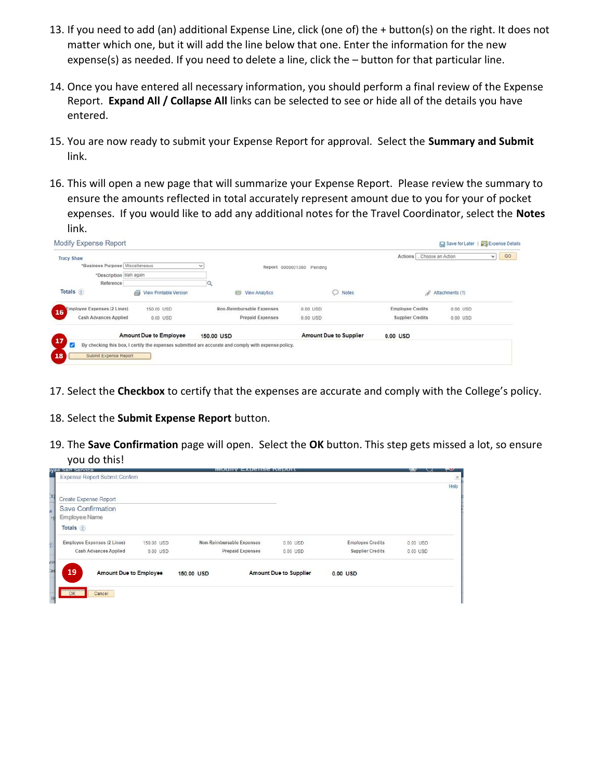- 13. If you need to add (an) additional Expense Line, click (one of) the + button(s) on the right. It does not matter which one, but it will add the line below that one. Enter the information for the new expense(s) as needed. If you need to delete a line, click the – button for that particular line.
- 14. Once you have entered all necessary information, you should perform a final review of the Expense Report. Expand All / Collapse All links can be selected to see or hide all of the details you have entered.
- 15. You are now ready to submit your Expense Report for approval. Select the Summary and Submit link.
- 16. This will open a new page that will summarize your Expense Report. Please review the summary to ensure the amounts reflected in total accurately represent amount due to you for your of pocket expenses. If you would like to add any additional notes for the Travel Coordinator, select the Notes link.

| Modify Expense Report             |                             |                                                                                                     |                           |                           | Save for Later  | Expense Details |    |
|-----------------------------------|-----------------------------|-----------------------------------------------------------------------------------------------------|---------------------------|---------------------------|-----------------|-----------------|----|
| <b>Tracy Shaw</b>                 |                             |                                                                                                     |                           | Actions  Choose an Action |                 | v.              | GO |
| *Business Purpose Miscellaneous   |                             | v                                                                                                   | Report 0000021360 Pending |                           |                 |                 |    |
| *Description blah again           |                             |                                                                                                     |                           |                           |                 |                 |    |
| Reference                         |                             |                                                                                                     |                           |                           |                 |                 |    |
| Totals (2)                        | ö<br>View Printable Version | View Analytics<br>四                                                                                 | Notes                     | 8                         | Attachments (1) |                 |    |
| Employee Expenses (2 Lines)<br>16 | 150.00 USD                  | Non-Reimbursable Expenses                                                                           | 0.00 USD                  | <b>Employee Credits</b>   | 0.00 USD        |                 |    |
| Cash Advances Applied             | 0.00 USD                    | Prepaid Expenses                                                                                    | 0.00 USD                  | <b>Supplier Credits</b>   | 0.00 USD        |                 |    |
|                                   | Amount Due to Employee      | 150,00 USD                                                                                          | Amount Due to Supplier    | 0.00 USD                  |                 |                 |    |
| 17<br>ø                           |                             | By checking this box, I certify the expenses submitted are accurate and comply with expense policy. |                           |                           |                 |                 |    |
| 18<br>Submit Expense Report       |                             |                                                                                                     |                           |                           |                 |                 |    |
|                                   |                             |                                                                                                     |                           |                           |                 |                 |    |

- 17. Select the Checkbox to certify that the expenses are accurate and comply with the College's policy.
- 18. Select the Submit Expense Report button.
- 19. The Save Confirmation page will open. Select the OK button. This step gets missed a lot, so ensure you do this!

|              | yee Selt Service                    |            |            | <b>INDUITY EADCHSC INCIDULE</b> |                               |                         |          |          |
|--------------|-------------------------------------|------------|------------|---------------------------------|-------------------------------|-------------------------|----------|----------|
|              | Expense Report Submit Confirm       |            |            |                                 |                               |                         |          | $\times$ |
| X            | Create Expense Report               |            |            |                                 |                               |                         |          | Help     |
| M            | Save Confirmation                   |            |            |                                 |                               |                         |          |          |
| ×p           | Employee Name                       |            |            |                                 |                               |                         |          |          |
|              | Totals (?)                          |            |            |                                 |                               |                         |          |          |
|              | <b>Employee Expenses (2 Lines)</b>  | 150.00 USD |            | Non-Reimbursable Expenses       | 0.00 USD                      | <b>Employee Credits</b> | 0.00 USD |          |
|              | Cash Advances Applied               | $0.00$ USD |            | <b>Prepaid Expenses</b>         | 0.00 USD                      | <b>Supplier Credits</b> | 0.00 USD |          |
| yei          |                                     |            |            |                                 |                               |                         |          |          |
| ias          | 19<br><b>Amount Due to Employee</b> |            | 150.00 USD |                                 | <b>Amount Due to Supplier</b> | 0.00 USD                |          |          |
|              |                                     |            |            |                                 |                               |                         |          |          |
| $\mathbf{B}$ | OK<br>Cancel                        |            |            |                                 |                               |                         |          |          |
|              |                                     |            |            |                                 |                               |                         |          |          |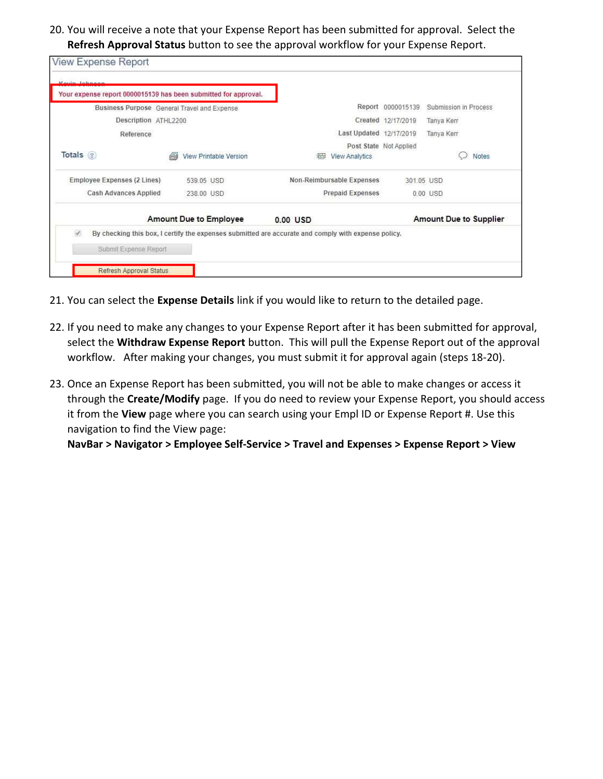20. You will receive a note that your Expense Report has been submitted for approval. Select the Refresh Approval Status button to see the approval workflow for your Expense Report.

| Your expense report 0000015139 has been submitted for approval. |                                             |                                                                                                     |                        |                               |
|-----------------------------------------------------------------|---------------------------------------------|-----------------------------------------------------------------------------------------------------|------------------------|-------------------------------|
|                                                                 | Business Purpose General Travel and Expense |                                                                                                     | Report 0000015139      | Submission in Process         |
| Description ATHL2200                                            |                                             |                                                                                                     | Created 12/17/2019     | Tanya Kerr                    |
| Reference                                                       |                                             | Last Updated 12/17/2019                                                                             |                        | Tanya Kerr                    |
| Totals (?)                                                      | <b>View Printable Version</b>               | $\sqrt{2}$<br><b>View Analytics</b>                                                                 | Post State Not Applied | Notes                         |
| Employee Expenses (2 Lines)                                     | 539.05 USD                                  | Non-Reimbursable Expenses                                                                           | 301.05 USD             |                               |
| Cash Advances Applied                                           | 238.00 USD                                  | <b>Prepaid Expenses</b>                                                                             |                        | 0.00 USD                      |
|                                                                 | <b>Amount Due to Employee</b>               | 0.00 USD                                                                                            |                        | <b>Amount Due to Supplier</b> |
| $\omega^0$                                                      |                                             | By checking this box, I certify the expenses submitted are accurate and comply with expense policy. |                        |                               |
| Submit Expense Report                                           |                                             |                                                                                                     |                        |                               |

- 21. You can select the Expense Details link if you would like to return to the detailed page.
- 22. If you need to make any changes to your Expense Report after it has been submitted for approval, select the Withdraw Expense Report button. This will pull the Expense Report out of the approval workflow. After making your changes, you must submit it for approval again (steps 18-20).
- 23. Once an Expense Report has been submitted, you will not be able to make changes or access it through the Create/Modify page. If you do need to review your Expense Report, you should access it from the View page where you can search using your Empl ID or Expense Report #. Use this navigation to find the View page:

NavBar > Navigator > Employee Self-Service > Travel and Expenses > Expense Report > View